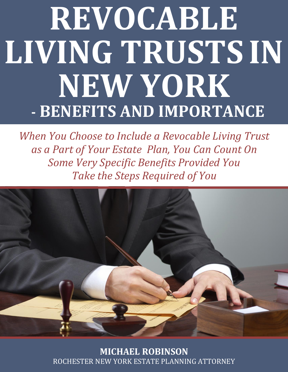# **REVOCABLE LIVING TRUSTS IN NEW YORK - BENEFITS AND IMPORTANCE**

*When You Choose to Include a Revocable Living Trust as a Part of Your Estate Plan, You Can Count On Some Very Specific Benefits Provided You Take the Steps Required of You*



**MICHAEL ROBINSON** [ROCHESTER NEW YORK ESTATE PLANNING ATTORNEY](http://mrobinsonlaw.com/estate_planning/index.php/estate-planning/)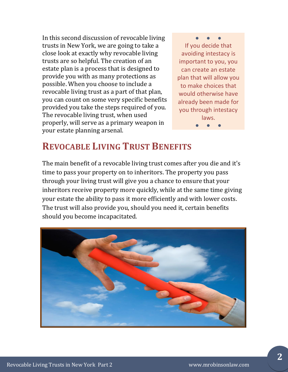In this second discussion of revocable living trusts in New York, we are going to take a close look at exactly why revocable living trusts are so helpful. The creation of an estate plan is a process that is designed to provide you with as many protections as possible. When you choose to include a revocable living trust as a part of that plan, you can count on some very specific benefits provided you take the steps required of you. The revocable living trust, when used properly, will serve as a primary weapon in your estate planning arsenal.

● ● ● If you decide that avoiding intestacy is important to you, you can create an estate plan that will allow you to make choices that would otherwise have already been made for you through intestacy laws. ● ● ●

#### **REVOCABLE LIVING TRUST BENEFITS**

The main benefit of a revocable living trust comes after you die and it's time to pass your property on to inheritors. The property you pass through your living trust will give you a chance to ensure that your inheritors receive property more quickly, while at the same time giving your estate the ability to pass it more efficiently and with lower costs. The trust will also provide you, should you need it, certain benefits should you become incapacitated.

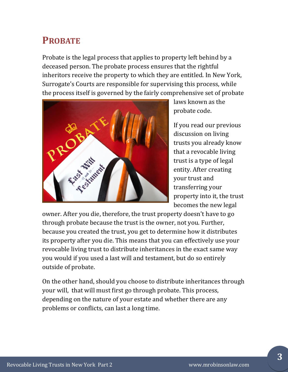# **PROBATE**

Probate is the legal process that applies to property left behind by a deceased person. The probate process ensures that the rightful inheritors receive the property to which they are entitled. In New York, Surrogate's Courts are responsible for supervising this process, while the process itself is governed by the fairly comprehensive set of probate



laws known as the probate code.

If you read our previous discussion on living trusts you already know that a revocable living trust is a type of legal entity. After creating your trust and transferring your property into it, the trust becomes the new legal

owner. After you die, therefore, the trust property doesn't have to go through probate because the trust is the owner, not you. Further, because you created the trust, you get to determine how it distributes its property after you die. This means that you can effectively use your revocable living trust to distribute inheritances in the exact same way you would if you used a last will and testament, but do so entirely outside of probate.

On the other hand, should you choose to distribute inheritances through your will, that will must first go through probate. This process, depending on the nature of your estate and whether there are any problems or conflicts, can last a long time.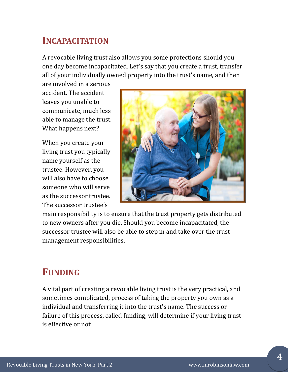#### **INCAPACITATION**

A revocable living trust also allows you some protections should you one day become incapacitated. Let's say that you create a trust, transfer all of your individually owned property into the trust's name, and then

are involved in a serious accident. The accident leaves you unable to communicate, much less able to manage the trust. What happens next?

When you create your living trust you typically name yourself as the trustee. However, you will also have to choose someone who will serve as the successor trustee. The successor trustee's



main responsibility is to ensure that the trust property gets distributed to new owners after you die. Should you become incapacitated, the successor trustee will also be able to step in and take over the trust management responsibilities.

## **FUNDING**

A vital part of creating a revocable living trust is the very practical, and sometimes complicated, process of taking the property you own as a individual and transferring it into the trust's name. The success or failure of this process, called funding, will determine if your living trust is effective or not.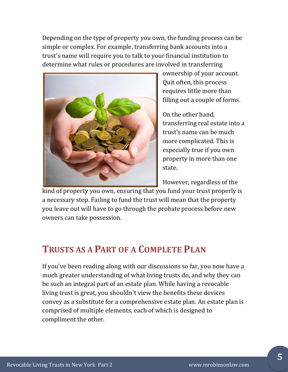Depending on the type of property you own, the funding process can be simple or complex. For example, transferring bank accounts into a trust's name will require you to talk to your financial institution to determine what rules or procedures are involved in transferring



ownership of your account. Quit often, this process requires little more than filling out a couple of forms.

On the other hand, transferring real estate into a trust's name can be much more complicated. This is especially true if you own property in more than one state.

However, regardless of the

kind of property you own, ensuring that you fund your trust properly is a necessary step. Failing to fund the trust will mean that the property you leave out will have to go through the probate process before new owners can take possession.

## **TRUSTS AS A PART OF A COMPLETE PLAN**

If you've been reading along with our discussions so far, you now have a much greater understanding of what living trusts do, and why they can be such an integral part of an estate plan. While having a revocable living trust is great, you shouldn't view the benefits these devices convey as a substitute for a comprehensive estate plan. An estate plan is comprised of multiple elements, each of which is designed to compliment the other.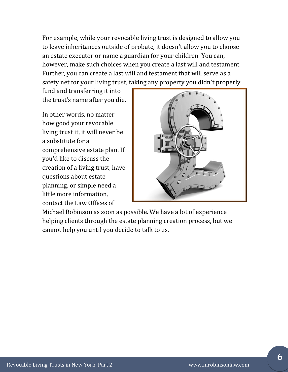For example, while your revocable living trust is designed to allow you to leave inheritances outside of probate, it doesn't allow you to choose an estate executor or name a guardian for your children. You can, however, make such choices when you create a last will and testament. Further, you can create a last will and testament that will serve as a safety net for your living trust, taking any property you didn't properly

fund and transferring it into the trust's name after you die.

In other words, no matter how good your revocable living trust it, it will never be a substitute for a comprehensive estate plan. If you'd like to discuss the creation of a living trust, have questions about estate planning, or simple need a little more information, contact the Law Offices of



Michael Robinson as soon as possible. We have a lot of experience helping clients through the estate planning creation process, but we cannot help you until you decide to talk to us.